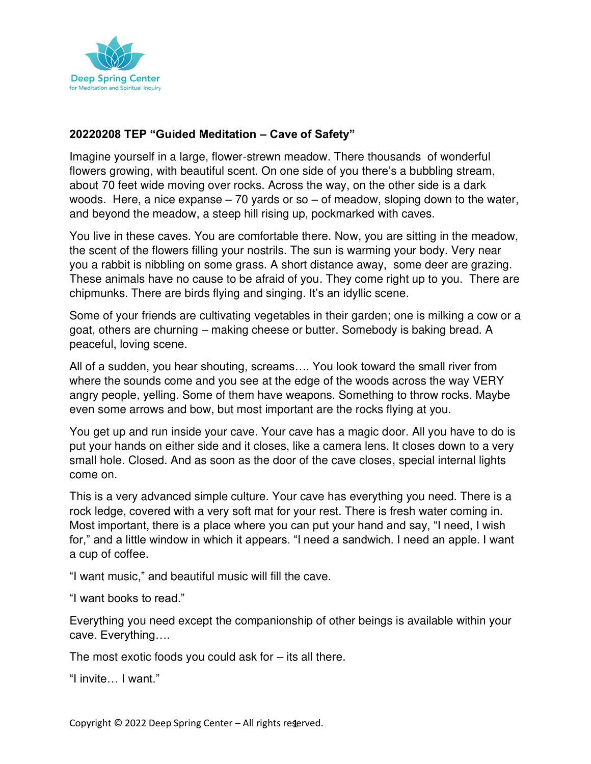

## **20220208 TEP "Guided Meditation – Cave of Safety"**

Imagine yourself in a large, flower-strewn meadow. There thousands of wonderful flowers growing, with beautiful scent. On one side of you there's a bubbling stream, about 70 feet wide moving over rocks. Across the way, on the other side is a dark woods. Here, a nice expanse – 70 yards or so – of meadow, sloping down to the water, and beyond the meadow, a steep hill rising up, pockmarked with caves.

You live in these caves. You are comfortable there. Now, you are sitting in the meadow, the scent of the flowers filling your nostrils. The sun is warming your body. Very near you a rabbit is nibbling on some grass. A short distance away, some deer are grazing. These animals have no cause to be afraid of you. They come right up to you. There are chipmunks. There are birds flying and singing. It's an idyllic scene.

Some of your friends are cultivating vegetables in their garden; one is milking a cow or a goat, others are churning – making cheese or butter. Somebody is baking bread. A peaceful, loving scene.

All of a sudden, you hear shouting, screams…. You look toward the small river from where the sounds come and you see at the edge of the woods across the way VERY angry people, yelling. Some of them have weapons. Something to throw rocks. Maybe even some arrows and bow, but most important are the rocks flying at you.

You get up and run inside your cave. Your cave has a magic door. All you have to do is put your hands on either side and it closes, like a camera lens. It closes down to a very small hole. Closed. And as soon as the door of the cave closes, special internal lights come on.

This is a very advanced simple culture. Your cave has everything you need. There is a rock ledge, covered with a very soft mat for your rest. There is fresh water coming in. Most important, there is a place where you can put your hand and say, "I need, I wish for," and a little window in which it appears. "I need a sandwich. I need an apple. I want a cup of coffee.

"I want music," and beautiful music will fill the cave.

"I want books to read."

Everything you need except the companionship of other beings is available within your cave. Everything….

The most exotic foods you could ask for  $-$  its all there.

"I invite… I want."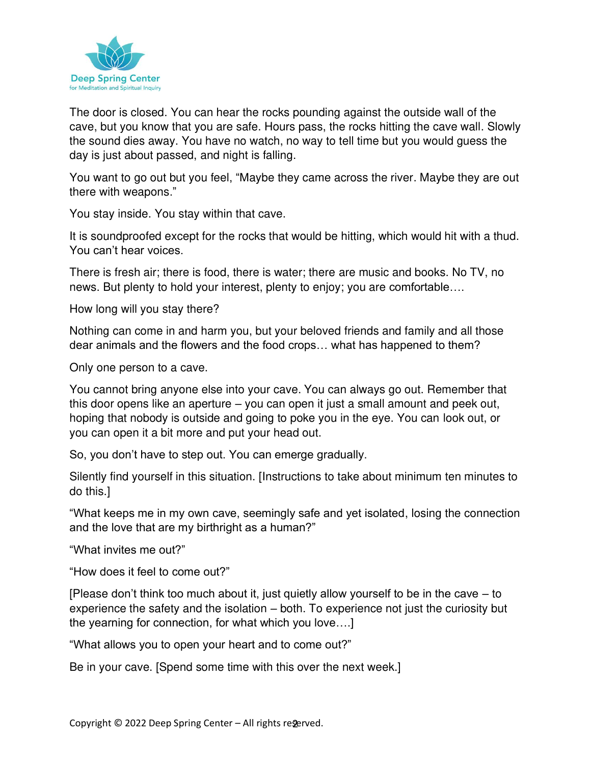

The door is closed. You can hear the rocks pounding against the outside wall of the cave, but you know that you are safe. Hours pass, the rocks hitting the cave wall. Slowly the sound dies away. You have no watch, no way to tell time but you would guess the day is just about passed, and night is falling.

You want to go out but you feel, "Maybe they came across the river. Maybe they are out there with weapons."

You stay inside. You stay within that cave.

It is soundproofed except for the rocks that would be hitting, which would hit with a thud. You can't hear voices.

There is fresh air; there is food, there is water; there are music and books. No TV, no news. But plenty to hold your interest, plenty to enjoy; you are comfortable….

How long will you stay there?

Nothing can come in and harm you, but your beloved friends and family and all those dear animals and the flowers and the food crops… what has happened to them?

Only one person to a cave.

You cannot bring anyone else into your cave. You can always go out. Remember that this door opens like an aperture – you can open it just a small amount and peek out, hoping that nobody is outside and going to poke you in the eye. You can look out, or you can open it a bit more and put your head out.

So, you don't have to step out. You can emerge gradually.

Silently find yourself in this situation. [Instructions to take about minimum ten minutes to do this.]

"What keeps me in my own cave, seemingly safe and yet isolated, losing the connection and the love that are my birthright as a human?"

"What invites me out?"

"How does it feel to come out?"

[Please don't think too much about it, just quietly allow yourself to be in the cave – to experience the safety and the isolation – both. To experience not just the curiosity but the yearning for connection, for what which you love….]

"What allows you to open your heart and to come out?"

Be in your cave. [Spend some time with this over the next week.]